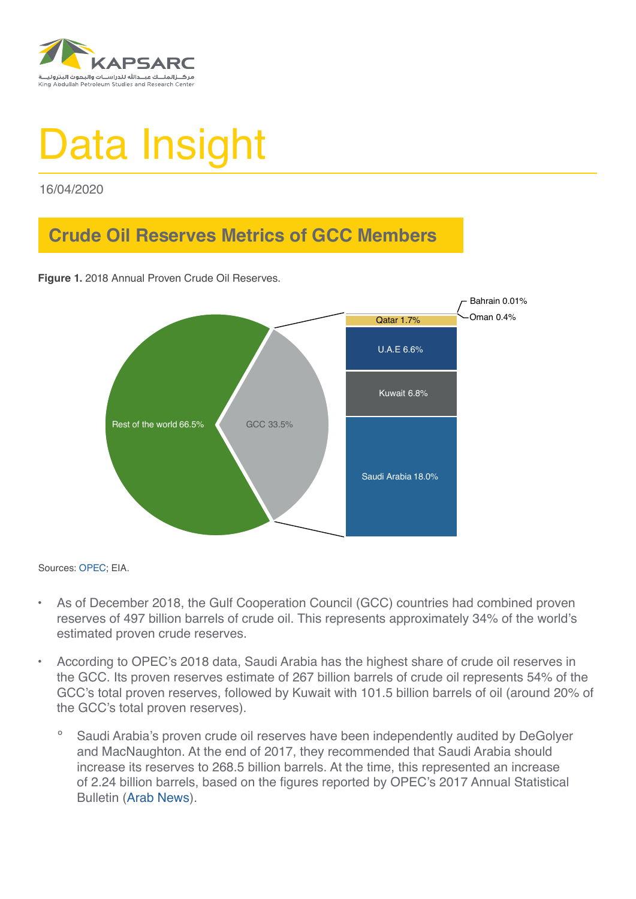

## Data Insight

16/04/2020

## **Crude Oil Reserves Metrics of GCC Members**

**Figure 1.** 2018 Annual Proven Crude Oil Reserves.



Sources: [OPEC](https://asb.opec.org/index.php/data-download); EIA.

- As of December 2018, the Gulf Cooperation Council (GCC) countries had combined proven reserves of 497 billion barrels of crude oil. This represents approximately 34% of the world's estimated proven crude reserves.
- According to OPEC's 2018 data, Saudi Arabia has the highest share of crude oil reserves in the GCC. Its proven reserves estimate of 267 billion barrels of crude oil represents 54% of the GCC's total proven reserves, followed by Kuwait with 101.5 billion barrels of oil (around 20% of the GCC's total proven reserves).
	- Saudi Arabia's proven crude oil reserves have been independently audited by DeGolyer and MacNaughton. At the end of 2017, they recommended that Saudi Arabia should increase its reserves to 268.5 billion barrels. At the time, this represented an increase of 2.24 billion barrels, based on the figures reported by OPEC's 2017 Annual Statistical Bulletin ([Arab News](http://www.arabnews.com/node/1432981/business-economy)).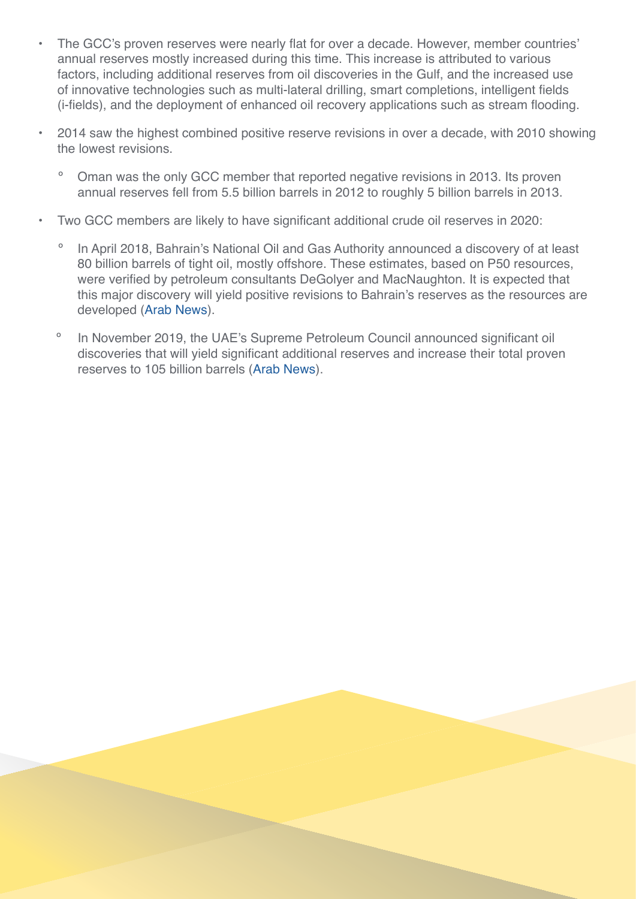- The GCC's proven reserves were nearly flat for over a decade. However, member countries' annual reserves mostly increased during this time. This increase is attributed to various factors, including additional reserves from oil discoveries in the Gulf, and the increased use of innovative technologies such as multi-lateral drilling, smart completions, intelligent fields (i-fields), and the deployment of enhanced oil recovery applications such as stream flooding.
- 2014 saw the highest combined positive reserve revisions in over a decade, with 2010 showing the lowest revisions.
	- Oman was the only GCC member that reported negative revisions in 2013. Its proven annual reserves fell from 5.5 billion barrels in 2012 to roughly 5 billion barrels in 2013.
- Two GCC members are likely to have significant additional crude oil reserves in 2020:
	- In April 2018, Bahrain's National Oil and Gas Authority announced a discovery of at least 80 billion barrels of tight oil, mostly offshore. These estimates, based on P50 resources, were verified by petroleum consultants DeGolyer and MacNaughton. It is expected that this major discovery will yield positive revisions to Bahrain's reserves as the resources are developed [\(Arab News](https://www.arabnews.com/node/1278916/business-economy)).
	- º In November 2019, the UAE's Supreme Petroleum Council announced significant oil discoveries that will yield significant additional reserves and increase their total proven reserves to 105 billion barrels ([Arab News](https://www.arabnews.com/node/1578966/business-economy)).